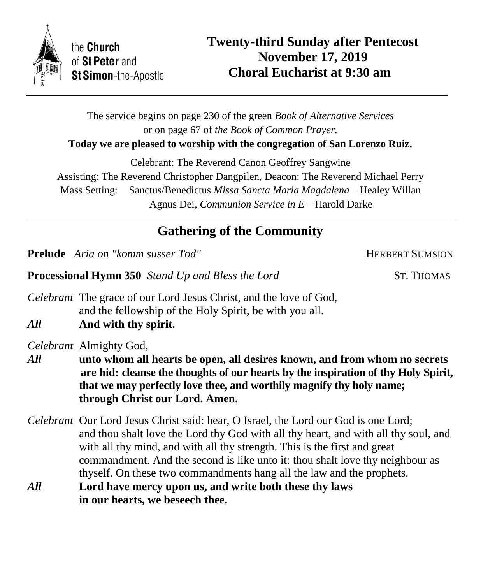

the Church of St Peter and St Simon-the-Apostle

The service begins on page 230 of the green *Book of Alternative Services* or on page 67 of *the Book of Common Prayer.* **Today we are pleased to worship with the congregation of San Lorenzo Ruiz.** Celebrant: The Reverend Canon Geoffrey Sangwine

Assisting: The Reverend Christopher Dangpilen, Deacon: The Reverend Michael Perry Mass Setting: Sanctus/Benedictus *Missa Sancta Maria Magdalena* – Healey Willan Agnus Dei, *Communion Service in E* – Harold Darke

# **Gathering of the Community**

**Prelude** *Aria on "komm susser Tod"* The *HERBERT SUMSION* 

**Processional Hymn 350** *Stand Up and Bless the Lord* ST. THOMAS

֡֡֡

*Celebrant* The grace of our Lord Jesus Christ, and the love of God, and the fellowship of the Holy Spirit, be with you all.

*All* **And with thy spirit.**

*Celebrant* Almighty God,

*All* **unto whom all hearts be open, all desires known, and from whom no secrets are hid: cleanse the thoughts of our hearts by the inspiration of thy Holy Spirit, that we may perfectly love thee, and worthily magnify thy holy name; through Christ our Lord. Amen.**

*Celebrant* Our Lord Jesus Christ said: hear, O Israel, the Lord our God is one Lord; and thou shalt love the Lord thy God with all thy heart, and with all thy soul, and with all thy mind, and with all thy strength. This is the first and great commandment. And the second is like unto it: thou shalt love thy neighbour as thyself. On these two commandments hang all the law and the prophets.

*All* **Lord have mercy upon us, and write both these thy laws in our hearts, we beseech thee.**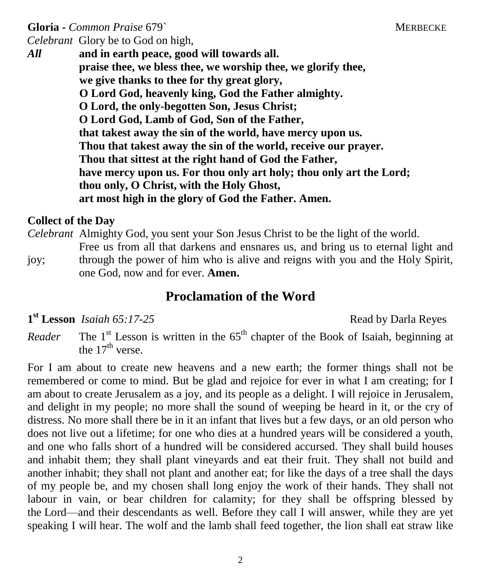**Gloria -** *Common Praise* 679` MERBECKE

*Celebrant* Glory be to God on high,

*All* **and in earth peace, good will towards all. praise thee, we bless thee, we worship thee, we glorify thee, we give thanks to thee for thy great glory, O Lord God, heavenly king, God the Father almighty. O Lord, the only-begotten Son, Jesus Christ; O Lord God, Lamb of God, Son of the Father, that takest away the sin of the world, have mercy upon us. Thou that takest away the sin of the world, receive our prayer. Thou that sittest at the right hand of God the Father, have mercy upon us. For thou only art holy; thou only art the Lord; thou only, O Christ, with the Holy Ghost, art most high in the glory of God the Father. Amen.**

#### **Collect of the Day**

*Celebrant* Almighty God, you sent your Son Jesus Christ to be the light of the world. Free us from all that darkens and ensnares us, and bring us to eternal light and joy; through the power of him who is alive and reigns with you and the Holy Spirit, one God, now and for ever. **Amen.**

## **Proclamation of the Word**

**1 st Lesson** *Isaiah 65:17-25* Read by Darla Reyes

 $Reader$ The  $1<sup>st</sup>$  Lesson is written in the  $65<sup>th</sup>$  chapter of the Book of Isaiah, beginning at the  $17<sup>th</sup>$  verse.

For I am about to create new heavens and a new earth; the former things shall not be remembered or come to mind. But be glad and rejoice for ever in what I am creating; for I am about to create Jerusalem as a joy, and its people as a delight. I will rejoice in Jerusalem, and delight in my people; no more shall the sound of weeping be heard in it, or the cry of distress. No more shall there be in it an infant that lives but a few days, or an old person who does not live out a lifetime; for one who dies at a hundred years will be considered a youth, and one who falls short of a hundred will be considered accursed. They shall build houses and inhabit them; they shall plant vineyards and eat their fruit. They shall not build and another inhabit; they shall not plant and another eat; for like the days of a tree shall the days of my people be, and my chosen shall long enjoy the work of their hands. They shall not labour in vain, or bear children for calamity; for they shall be offspring blessed by the Lord—and their descendants as well. Before they call I will answer, while they are yet speaking I will hear. The wolf and the lamb shall feed together, the lion shall eat straw like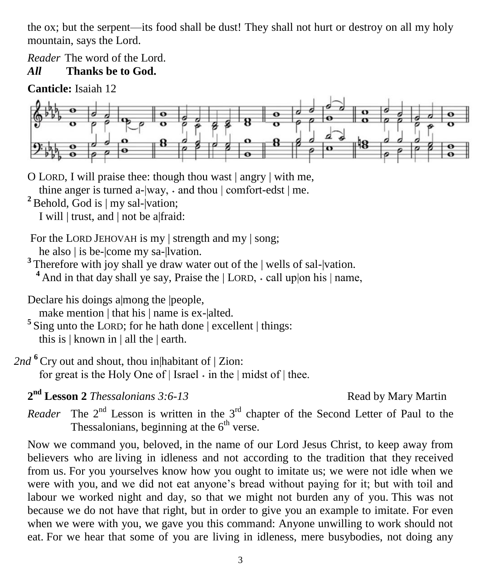the ox; but the serpent—its food shall be dust! They shall not hurt or destroy on all my holy mountain, says the Lord.

*Reader* The word of the Lord.

## *All* **Thanks be to God.**

**Canticle:** Isaiah 12



O LORD, I will praise thee: though thou wast | angry | with me,

thine anger is turned a- $|way, \cdot$  and thou  $|$  comfort-edst  $|$  me.

<sup>2</sup> Behold, God is  $\vert$  my sal- $\vert$ vation;

I will | trust, and | not be a|fraid:

For the LORD JEHOVAH is my | strength and my | song;

he also | is be-|come my sa-|lvation.

<sup>3</sup> Therefore with joy shall ye draw water out of the | wells of sal-|vation.

<sup>4</sup> And in that day shall ye say, Praise the  $|$  LORD,  $\cdot$  call up on his  $|$  name,

Declare his doings a|mong the |people,

make mention | that his | name is ex-|alted.

<sup>5</sup> Sing unto the LORD; for he hath done | excellent | things: this is  $|$  known in  $|$  all the  $|$  earth.

*2nd* **<sup>6</sup>** Cry out and shout, thou in|habitant of | Zion: for great is the Holy One of  $\vert$  Israel  $\cdot$  in the  $\vert$  midst of  $\vert$  thee.

**2 nd Lesson 2** *Thessalonians 3:6-13* Read by Mary Martin

*Reader* The  $2<sup>nd</sup>$  Lesson is written in the  $3<sup>rd</sup>$  chapter of the Second Letter of Paul to the Thessalonians, beginning at the  $6<sup>th</sup>$  verse.

Now we command you, beloved, in the name of our Lord Jesus Christ, to keep away from believers who are living in idleness and not according to the tradition that they received from us. For you yourselves know how you ought to imitate us; we were not idle when we were with you, and we did not eat anyone's bread without paying for it; but with toil and labour we worked night and day, so that we might not burden any of you. This was not because we do not have that right, but in order to give you an example to imitate. For even when we were with you, we gave you this command: Anyone unwilling to work should not eat. For we hear that some of you are living in idleness, mere busybodies, not doing any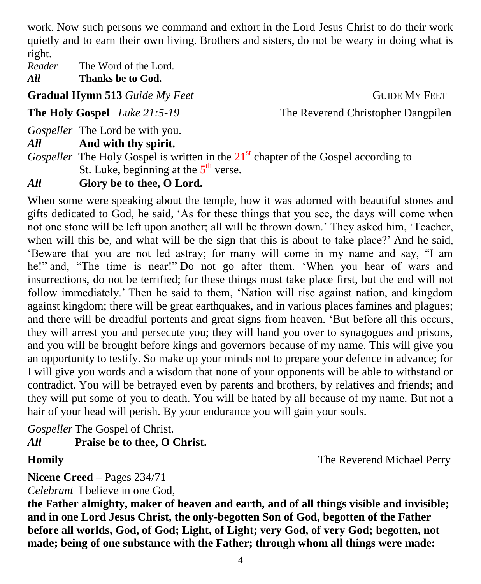work. Now such persons we command and exhort in the Lord Jesus Christ to do their work quietly and to earn their own living. Brothers and sisters, do not be weary in doing what is right.

*Reader* The Word of the Lord.

*All* **Thanks be to God.**

**Gradual Hymn 513** *Guide My Feet* **CUIDE MY FEET** 

**The Holy Gospel** *Luke 21:5-19* The Reverend Christopher Dangpilen

*Gospeller* The Lord be with you.

*All* **And with thy spirit.**

*Gospeller* The Holy Gospel is written in the 21<sup>st</sup> chapter of the Gospel according to St. Luke, beginning at the  $5<sup>th</sup>$  verse.

## *All* **Glory be to thee, O Lord.**

When some were speaking about the temple, how it was adorned with beautiful stones and gifts dedicated to God, he said, 'As for these things that you see, the days will come when not one stone will be left upon another; all will be thrown down.' They asked him, 'Teacher, when will this be, and what will be the sign that this is about to take place?' And he said, 'Beware that you are not led astray; for many will come in my name and say, "I am he!" and, "The time is near!" Do not go after them. 'When you hear of wars and insurrections, do not be terrified; for these things must take place first, but the end will not follow immediately.' Then he said to them, 'Nation will rise against nation, and kingdom against kingdom; there will be great earthquakes, and in various places famines and plagues; and there will be dreadful portents and great signs from heaven. 'But before all this occurs, they will arrest you and persecute you; they will hand you over to synagogues and prisons, and you will be brought before kings and governors because of my name. This will give you an opportunity to testify. So make up your minds not to prepare your defence in advance; for I will give you words and a wisdom that none of your opponents will be able to withstand or contradict. You will be betrayed even by parents and brothers, by relatives and friends; and they will put some of you to death. You will be hated by all because of my name. But not a hair of your head will perish. By your endurance you will gain your souls.

*Gospeller* The Gospel of Christ.

## *All* **Praise be to thee, O Christ.**

**Homily** The Reverend Michael Perry

**Nicene Creed –** Pages 234/71 *Celebrant* I believe in one God,

**the Father almighty, maker of heaven and earth, and of all things visible and invisible; and in one Lord Jesus Christ, the only-begotten Son of God, begotten of the Father before all worlds, God, of God; Light, of Light; very God, of very God; begotten, not made; being of one substance with the Father; through whom all things were made:**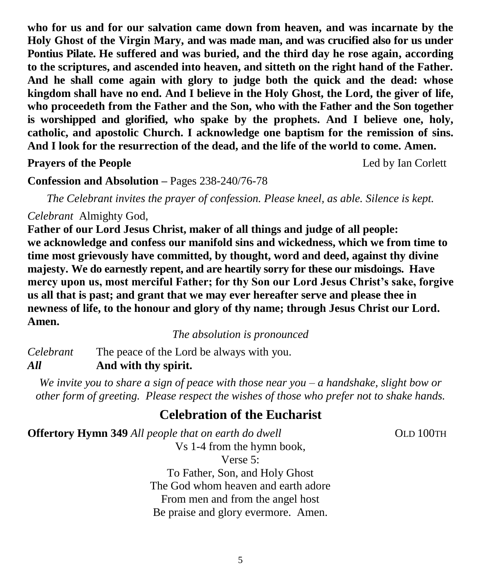**who for us and for our salvation came down from heaven, and was incarnate by the Holy Ghost of the Virgin Mary, and was made man, and was crucified also for us under Pontius Pilate. He suffered and was buried, and the third day he rose again, according to the scriptures, and ascended into heaven, and sitteth on the right hand of the Father. And he shall come again with glory to judge both the quick and the dead: whose kingdom shall have no end. And I believe in the Holy Ghost, the Lord, the giver of life, who proceedeth from the Father and the Son, who with the Father and the Son together is worshipped and glorified, who spake by the prophets. And I believe one, holy, catholic, and apostolic Church. I acknowledge one baptism for the remission of sins. And I look for the resurrection of the dead, and the life of the world to come. Amen.**

**Prayers of the People** *Prayers Led by Ian Corlett*

**Confession and Absolution –** Pages 238-240/76-78

*The Celebrant invites the prayer of confession. Please kneel, as able. Silence is kept.*

*Celebrant* Almighty God,

**Father of our Lord Jesus Christ, maker of all things and judge of all people: we acknowledge and confess our manifold sins and wickedness, which we from time to time most grievously have committed, by thought, word and deed, against thy divine majesty. We do earnestly repent, and are heartily sorry for these our misdoings. Have mercy upon us, most merciful Father; for thy Son our Lord Jesus Christ's sake, forgive us all that is past; and grant that we may ever hereafter serve and please thee in newness of life, to the honour and glory of thy name; through Jesus Christ our Lord. Amen.**

*The absolution is pronounced*

*Celebrant* The peace of the Lord be always with you. *All* **And with thy spirit.**

*We invite you to share a sign of peace with those near you – a handshake, slight bow or other form of greeting. Please respect the wishes of those who prefer not to shake hands.*

# **Celebration of the Eucharist**

**Offertory Hymn 349** *All people that on earth do dwell* **OLD 100TH** Vs 1-4 from the hymn book, Verse 5:

> To Father, Son, and Holy Ghost The God whom heaven and earth adore From men and from the angel host Be praise and glory evermore. Amen.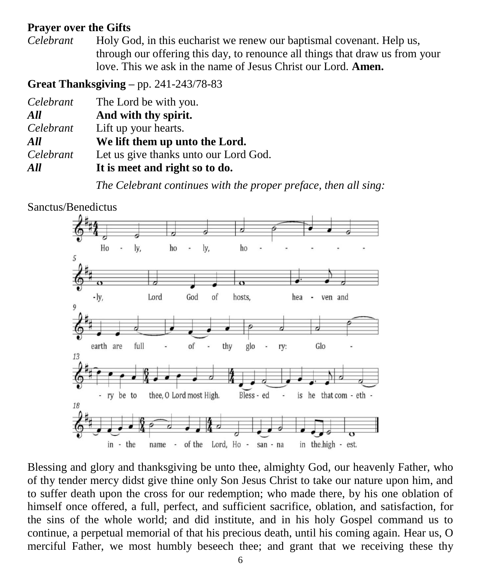#### **Prayer over the Gifts**

*Celebrant* Holy God, in this eucharist we renew our baptismal covenant. Help us, through our offering this day, to renounce all things that draw us from your love. This we ask in the name of Jesus Christ our Lord. **Amen.**

**Great Thanksgiving –** pp. 241-243/78-83

| Celebrant | The Lord be with you.                 |
|-----------|---------------------------------------|
| All       | And with thy spirit.                  |
| Celebrant | Lift up your hearts.                  |
| All       | We lift them up unto the Lord.        |
| Celebrant | Let us give thanks unto our Lord God. |
| All       | It is meet and right so to do.        |

*The Celebrant continues with the proper preface, then all sing:*



Blessing and glory and thanksgiving be unto thee, almighty God, our heavenly Father, who of thy tender mercy didst give thine only Son Jesus Christ to take our nature upon him, and to suffer death upon the cross for our redemption; who made there, by his one oblation of himself once offered, a full, perfect, and sufficient sacrifice, oblation, and satisfaction, for the sins of the whole world; and did institute, and in his holy Gospel command us to continue, a perpetual memorial of that his precious death, until his coming again. Hear us, O merciful Father, we most humbly beseech thee; and grant that we receiving these thy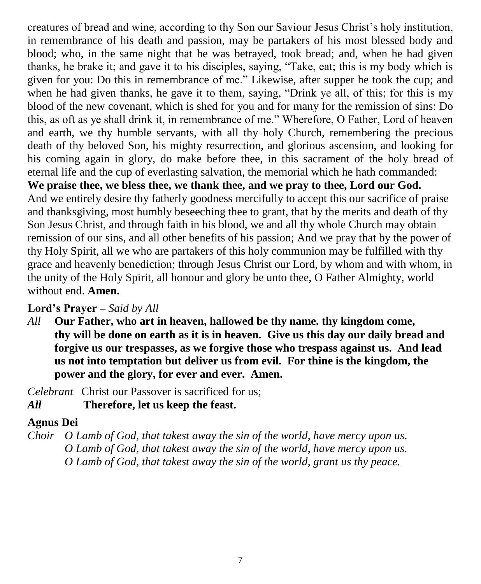creatures of bread and wine, according to thy Son our Saviour Jesus Christ's holy institution, in remembrance of his death and passion, may be partakers of his most blessed body and blood; who, in the same night that he was betrayed, took bread; and, when he had given thanks, he brake it; and gave it to his disciples, saying, "Take, eat; this is my body which is given for you: Do this in remembrance of me." Likewise, after supper he took the cup; and when he had given thanks, he gave it to them, saying, "Drink ye all, of this; for this is my blood of the new covenant, which is shed for you and for many for the remission of sins: Do this, as oft as ye shall drink it, in remembrance of me." Wherefore, O Father, Lord of heaven and earth, we thy humble servants, with all thy holy Church, remembering the precious death of thy beloved Son, his mighty resurrection, and glorious ascension, and looking for his coming again in glory, do make before thee, in this sacrament of the holy bread of eternal life and the cup of everlasting salvation, the memorial which he hath commanded: **We praise thee, we bless thee, we thank thee, and we pray to thee, Lord our God.**  And we entirely desire thy fatherly goodness mercifully to accept this our sacrifice of praise and thanksgiving, most humbly beseeching thee to grant, that by the merits and death of thy Son Jesus Christ, and through faith in his blood, we and all thy whole Church may obtain remission of our sins, and all other benefits of his passion; And we pray that by the power of thy Holy Spirit, all we who are partakers of this holy communion may be fulfilled with thy grace and heavenly benediction; through Jesus Christ our Lord, by whom and with whom, in the unity of the Holy Spirit, all honour and glory be unto thee, O Father Almighty, world without end. **Amen.**

### **Lord's Prayer –** *Said by All*

*All* **Our Father, who art in heaven, hallowed be thy name. thy kingdom come, thy will be done on earth as it is in heaven. Give us this day our daily bread and forgive us our trespasses, as we forgive those who trespass against us. And lead us not into temptation but deliver us from evil. For thine is the kingdom, the power and the glory, for ever and ever. Amen.**

*Celebrant* Christ our Passover is sacrificed for us;

*All* **Therefore, let us keep the feast.**

### **Agnus Dei**

*Choir O Lamb of God, that takest away the sin of the world, have mercy upon us. O Lamb of God, that takest away the sin of the world, have mercy upon us. O Lamb of God, that takest away the sin of the world, grant us thy peace.*